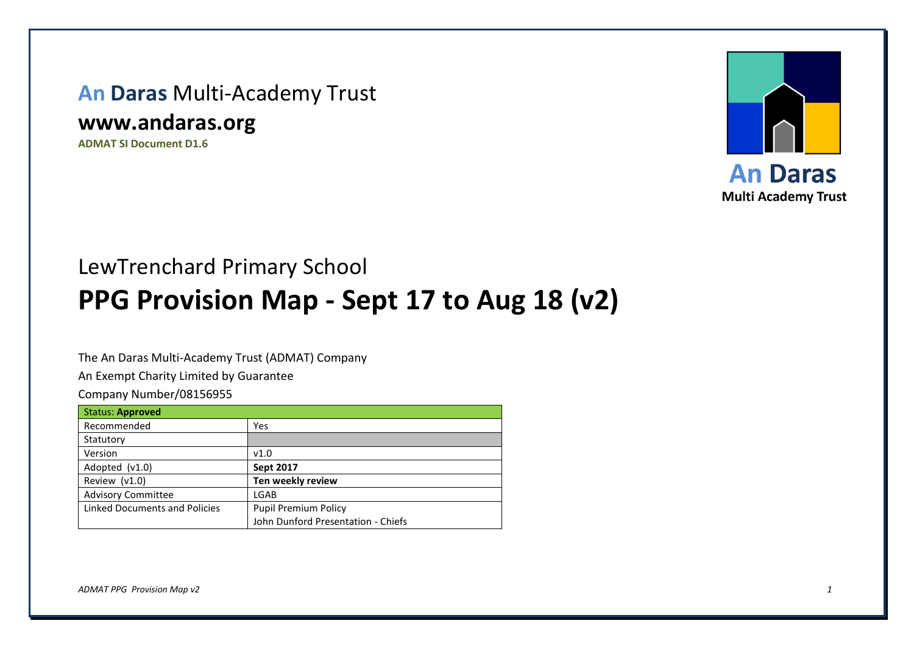## **An Daras** Multi-Academy Trust

## **www.andaras.org**

**ADMAT SI Document D1.6**



## LewTrenchard Primary School **PPG Provision Map - Sept 17 to Aug 18 (v2)**

The An Daras Multi-Academy Trust (ADMAT) Company

An Exempt Charity Limited by Guarantee

Company Number/08156955

| <b>Status: Approved</b>       |                                    |
|-------------------------------|------------------------------------|
| Recommended                   | Yes                                |
| Statutory                     |                                    |
| Version                       | v1.0                               |
| Adopted $(v1.0)$              | <b>Sept 2017</b>                   |
| Review (v1.0)                 | Ten weekly review                  |
| <b>Advisory Committee</b>     | LGAB                               |
| Linked Documents and Policies | <b>Pupil Premium Policy</b>        |
|                               | John Dunford Presentation - Chiefs |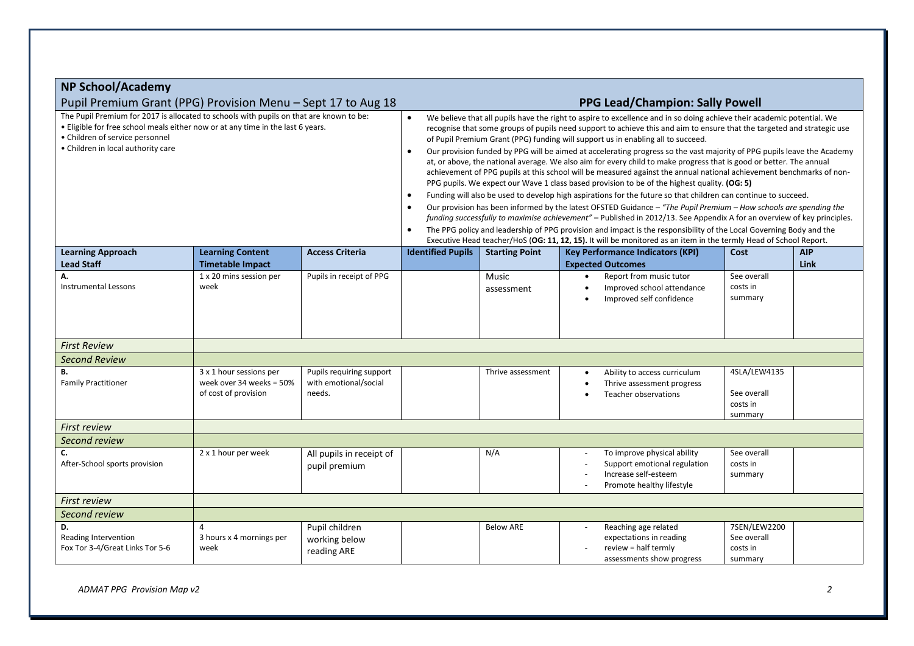| <b>NP School/Academy</b>                                                                                                                                                                                                                            |                                                                             |                                                                                                                                                                                                                                                                                                                                                                                                                                                                                                                                                                                                                                                                                                                                                                                                                                                                                                                                                                                                                                                                                                                                                                                                                                                                                                                                                                                                                                                                                                |                          |                       |                                                                                                                  |                                                    |            |
|-----------------------------------------------------------------------------------------------------------------------------------------------------------------------------------------------------------------------------------------------------|-----------------------------------------------------------------------------|------------------------------------------------------------------------------------------------------------------------------------------------------------------------------------------------------------------------------------------------------------------------------------------------------------------------------------------------------------------------------------------------------------------------------------------------------------------------------------------------------------------------------------------------------------------------------------------------------------------------------------------------------------------------------------------------------------------------------------------------------------------------------------------------------------------------------------------------------------------------------------------------------------------------------------------------------------------------------------------------------------------------------------------------------------------------------------------------------------------------------------------------------------------------------------------------------------------------------------------------------------------------------------------------------------------------------------------------------------------------------------------------------------------------------------------------------------------------------------------------|--------------------------|-----------------------|------------------------------------------------------------------------------------------------------------------|----------------------------------------------------|------------|
| Pupil Premium Grant (PPG) Provision Menu - Sept 17 to Aug 18<br><b>PPG Lead/Champion: Sally Powell</b>                                                                                                                                              |                                                                             |                                                                                                                                                                                                                                                                                                                                                                                                                                                                                                                                                                                                                                                                                                                                                                                                                                                                                                                                                                                                                                                                                                                                                                                                                                                                                                                                                                                                                                                                                                |                          |                       |                                                                                                                  |                                                    |            |
| The Pupil Premium for 2017 is allocated to schools with pupils on that are known to be:<br>. Eligible for free school meals either now or at any time in the last 6 years.<br>• Children of service personnel<br>• Children in local authority care |                                                                             | We believe that all pupils have the right to aspire to excellence and in so doing achieve their academic potential. We<br>$\bullet$<br>recognise that some groups of pupils need support to achieve this and aim to ensure that the targeted and strategic use<br>of Pupil Premium Grant (PPG) funding will support us in enabling all to succeed.<br>Our provision funded by PPG will be aimed at accelerating progress so the vast majority of PPG pupils leave the Academy<br>$\bullet$<br>at, or above, the national average. We also aim for every child to make progress that is good or better. The annual<br>achievement of PPG pupils at this school will be measured against the annual national achievement benchmarks of non-<br>PPG pupils. We expect our Wave 1 class based provision to be of the highest quality. (OG: 5)<br>Funding will also be used to develop high aspirations for the future so that children can continue to succeed.<br>$\bullet$<br>Our provision has been informed by the latest OFSTED Guidance - "The Pupil Premium - How schools are spending the<br>$\bullet$<br>funding successfully to maximise achievement" - Published in 2012/13. See Appendix A for an overview of key principles.<br>The PPG policy and leadership of PPG provision and impact is the responsibility of the Local Governing Body and the<br>$\bullet$<br>Executive Head teacher/HoS (OG: 11, 12, 15). It will be monitored as an item in the termly Head of School Report. |                          |                       |                                                                                                                  |                                                    |            |
| <b>Learning Approach</b>                                                                                                                                                                                                                            | <b>Learning Content</b>                                                     | <b>Access Criteria</b>                                                                                                                                                                                                                                                                                                                                                                                                                                                                                                                                                                                                                                                                                                                                                                                                                                                                                                                                                                                                                                                                                                                                                                                                                                                                                                                                                                                                                                                                         | <b>Identified Pupils</b> | <b>Starting Point</b> | <b>Key Performance Indicators (KPI)</b>                                                                          | Cost                                               | <b>AIP</b> |
| <b>Lead Staff</b>                                                                                                                                                                                                                                   | <b>Timetable Impact</b>                                                     |                                                                                                                                                                                                                                                                                                                                                                                                                                                                                                                                                                                                                                                                                                                                                                                                                                                                                                                                                                                                                                                                                                                                                                                                                                                                                                                                                                                                                                                                                                |                          |                       | <b>Expected Outcomes</b>                                                                                         |                                                    | Link       |
| Α.<br><b>Instrumental Lessons</b>                                                                                                                                                                                                                   | 1 x 20 mins session per<br>week                                             | Pupils in receipt of PPG                                                                                                                                                                                                                                                                                                                                                                                                                                                                                                                                                                                                                                                                                                                                                                                                                                                                                                                                                                                                                                                                                                                                                                                                                                                                                                                                                                                                                                                                       |                          | Music<br>assessment   | Report from music tutor<br>Improved school attendance<br>Improved self confidence                                | See overall<br>costs in<br>summary                 |            |
| <b>First Review</b>                                                                                                                                                                                                                                 |                                                                             |                                                                                                                                                                                                                                                                                                                                                                                                                                                                                                                                                                                                                                                                                                                                                                                                                                                                                                                                                                                                                                                                                                                                                                                                                                                                                                                                                                                                                                                                                                |                          |                       |                                                                                                                  |                                                    |            |
| <b>Second Review</b>                                                                                                                                                                                                                                |                                                                             |                                                                                                                                                                                                                                                                                                                                                                                                                                                                                                                                                                                                                                                                                                                                                                                                                                                                                                                                                                                                                                                                                                                                                                                                                                                                                                                                                                                                                                                                                                |                          |                       |                                                                                                                  |                                                    |            |
| В.<br><b>Family Practitioner</b>                                                                                                                                                                                                                    | 3 x 1 hour sessions per<br>week over 34 weeks = 50%<br>of cost of provision | Pupils requiring support<br>with emotional/social<br>needs.                                                                                                                                                                                                                                                                                                                                                                                                                                                                                                                                                                                                                                                                                                                                                                                                                                                                                                                                                                                                                                                                                                                                                                                                                                                                                                                                                                                                                                    |                          | Thrive assessment     | Ability to access curriculum<br>Thrive assessment progress<br>Teacher observations<br>$\bullet$                  | 4SLA/LEW4135<br>See overall<br>costs in<br>summary |            |
| <b>First review</b>                                                                                                                                                                                                                                 |                                                                             |                                                                                                                                                                                                                                                                                                                                                                                                                                                                                                                                                                                                                                                                                                                                                                                                                                                                                                                                                                                                                                                                                                                                                                                                                                                                                                                                                                                                                                                                                                |                          |                       |                                                                                                                  |                                                    |            |
| Second review                                                                                                                                                                                                                                       |                                                                             |                                                                                                                                                                                                                                                                                                                                                                                                                                                                                                                                                                                                                                                                                                                                                                                                                                                                                                                                                                                                                                                                                                                                                                                                                                                                                                                                                                                                                                                                                                |                          |                       |                                                                                                                  |                                                    |            |
| C.<br>After-School sports provision                                                                                                                                                                                                                 | 2 x 1 hour per week                                                         | All pupils in receipt of<br>pupil premium                                                                                                                                                                                                                                                                                                                                                                                                                                                                                                                                                                                                                                                                                                                                                                                                                                                                                                                                                                                                                                                                                                                                                                                                                                                                                                                                                                                                                                                      |                          | N/A                   | To improve physical ability<br>Support emotional regulation<br>Increase self-esteem<br>Promote healthy lifestyle | See overall<br>costs in<br>summary                 |            |
| <b>First review</b>                                                                                                                                                                                                                                 |                                                                             |                                                                                                                                                                                                                                                                                                                                                                                                                                                                                                                                                                                                                                                                                                                                                                                                                                                                                                                                                                                                                                                                                                                                                                                                                                                                                                                                                                                                                                                                                                |                          |                       |                                                                                                                  |                                                    |            |
| Second review                                                                                                                                                                                                                                       |                                                                             |                                                                                                                                                                                                                                                                                                                                                                                                                                                                                                                                                                                                                                                                                                                                                                                                                                                                                                                                                                                                                                                                                                                                                                                                                                                                                                                                                                                                                                                                                                |                          |                       |                                                                                                                  |                                                    |            |
| D.<br>Reading Intervention<br>Fox Tor 3-4/Great Links Tor 5-6                                                                                                                                                                                       | 4<br>3 hours x 4 mornings per<br>week                                       | Pupil children<br>working below<br>reading ARE                                                                                                                                                                                                                                                                                                                                                                                                                                                                                                                                                                                                                                                                                                                                                                                                                                                                                                                                                                                                                                                                                                                                                                                                                                                                                                                                                                                                                                                 |                          | <b>Below ARE</b>      | Reaching age related<br>expectations in reading<br>review = half termly<br>assessments show progress             | 7SEN/LEW2200<br>See overall<br>costs in<br>summary |            |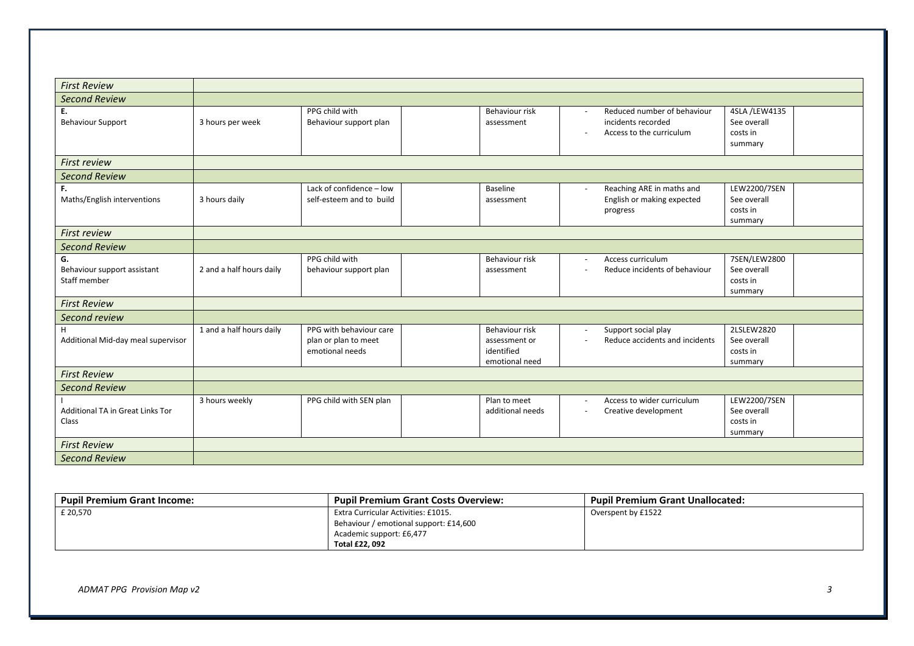| <b>First Review</b>                               |                          |                                                                    |                                                                 |                          |                                                                               |                                                     |  |
|---------------------------------------------------|--------------------------|--------------------------------------------------------------------|-----------------------------------------------------------------|--------------------------|-------------------------------------------------------------------------------|-----------------------------------------------------|--|
| <b>Second Review</b>                              |                          |                                                                    |                                                                 |                          |                                                                               |                                                     |  |
| Ε.<br><b>Behaviour Support</b>                    | 3 hours per week         | PPG child with<br>Behaviour support plan                           | Behaviour risk<br>assessment                                    |                          | Reduced number of behaviour<br>incidents recorded<br>Access to the curriculum | 4SLA /LEW4135<br>See overall<br>costs in<br>summary |  |
| <b>First review</b>                               |                          |                                                                    |                                                                 |                          |                                                                               |                                                     |  |
| <b>Second Review</b>                              |                          |                                                                    |                                                                 |                          |                                                                               |                                                     |  |
| F.<br>Maths/English interventions                 | 3 hours daily            | Lack of confidence - low<br>self-esteem and to build               | Baseline<br>assessment                                          | $\sim$                   | Reaching ARE in maths and<br>English or making expected<br>progress           | LEW2200/7SEN<br>See overall<br>costs in<br>summary  |  |
| <b>First review</b>                               |                          |                                                                    |                                                                 |                          |                                                                               |                                                     |  |
| <b>Second Review</b>                              |                          |                                                                    |                                                                 |                          |                                                                               |                                                     |  |
| G.<br>Behaviour support assistant<br>Staff member | 2 and a half hours daily | PPG child with<br>behaviour support plan                           | Behaviour risk<br>assessment                                    | $\sim$<br>$\overline{a}$ | Access curriculum<br>Reduce incidents of behaviour                            | 7SEN/LEW2800<br>See overall<br>costs in<br>summary  |  |
| <b>First Review</b>                               |                          |                                                                    |                                                                 |                          |                                                                               |                                                     |  |
| Second review                                     |                          |                                                                    |                                                                 |                          |                                                                               |                                                     |  |
| H.<br>Additional Mid-day meal supervisor          | 1 and a half hours daily | PPG with behaviour care<br>plan or plan to meet<br>emotional needs | Behaviour risk<br>assessment or<br>identified<br>emotional need | $\sim$<br>$\sim$         | Support social play<br>Reduce accidents and incidents                         | 2LSLEW2820<br>See overall<br>costs in<br>summary    |  |
| <b>First Review</b>                               |                          |                                                                    |                                                                 |                          |                                                                               |                                                     |  |
| <b>Second Review</b>                              |                          |                                                                    |                                                                 |                          |                                                                               |                                                     |  |
| Additional TA in Great Links Tor<br>Class         | 3 hours weekly           | PPG child with SEN plan                                            | Plan to meet<br>additional needs                                | $\sim$<br>$\sim$         | Access to wider curriculum<br>Creative development                            | LEW2200/7SEN<br>See overall<br>costs in<br>summary  |  |
| <b>First Review</b>                               |                          |                                                                    |                                                                 |                          |                                                                               |                                                     |  |
| <b>Second Review</b>                              |                          |                                                                    |                                                                 |                          |                                                                               |                                                     |  |

| <b>Pupil Premium Grant Income:</b> | <b>Pupil Premium Grant Costs Overview:</b> | <b>Pupil Premium Grant Unallocated:</b> |
|------------------------------------|--------------------------------------------|-----------------------------------------|
| £ 20,570                           | Extra Curricular Activities: £1015.        | Overspent by £1522                      |
|                                    | Behaviour / emotional support: £14,600     |                                         |
|                                    | Academic support: £6,477                   |                                         |
|                                    | Total £22, 092                             |                                         |